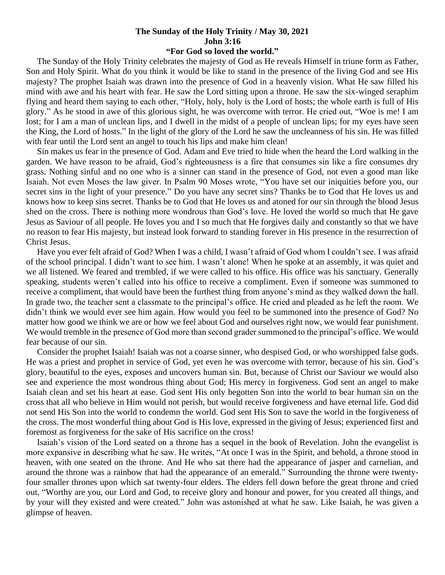## **The Sunday of the Holy Trinity / May 30, 2021 John 3:16**

## **"For God so loved the world."**

 The Sunday of the Holy Trinity celebrates the majesty of God as He reveals Himself in triune form as Father, Son and Holy Spirit. What do you think it would be like to stand in the presence of the living God and see His majesty? The prophet Isaiah was drawn into the presence of God in a heavenly vision. What He saw filled his mind with awe and his heart with fear. He saw the Lord sitting upon a throne. He saw the six-winged seraphim flying and heard them saying to each other, "Holy, holy, holy is the Lord of hosts; the whole earth is full of His glory." As he stood in awe of this glorious sight, he was overcome with terror. He cried out, "Woe is me! I am lost; for I am a man of unclean lips, and I dwell in the midst of a people of unclean lips; for my eyes have seen the King, the Lord of hosts." In the light of the glory of the Lord he saw the uncleanness of his sin. He was filled with fear until the Lord sent an angel to touch his lips and make him clean!

 Sin makes us fear in the presence of God. Adam and Eve tried to hide when the heard the Lord walking in the garden. We have reason to be afraid, God's righteousness is a fire that consumes sin like a fire consumes dry grass. Nothing sinful and no one who is a sinner can stand in the presence of God, not even a good man like Isaiah. Not even Moses the law giver. In Psalm 90 Moses wrote, "You have set our iniquities before you, our secret sins in the light of your presence." Do you have any secret sins? Thanks be to God that He loves us and knows how to keep sins secret. Thanks be to God that He loves us and atoned for our sin through the blood Jesus shed on the cross. There is nothing more wondrous than God's love. He loved the world so much that He gave Jesus as Saviour of all people. He loves you and I so much that He forgives daily and constantly so that we have no reason to fear His majesty, but instead look forward to standing forever in His presence in the resurrection of Christ Jesus.

 Have you ever felt afraid of God? When I was a child, I wasn't afraid of God whom I couldn't see. I was afraid of the school principal. I didn't want to see him. I wasn't alone! When he spoke at an assembly, it was quiet and we all listened. We feared and trembled, if we were called to his office. His office was his sanctuary. Generally speaking, students weren't called into his office to receive a compliment. Even if someone was summoned to receive a compliment, that would have been the furthest thing from anyone's mind as they walked down the hall. In grade two, the teacher sent a classmate to the principal's office. He cried and pleaded as he left the room. We didn't think we would ever see him again. How would you feel to be summoned into the presence of God? No matter how good we think we are or how we feel about God and ourselves right now, we would fear punishment. We would tremble in the presence of God more than second grader summoned to the principal's office. We would fear because of our sin.

 Consider the prophet Isaiah! Isaiah was not a coarse sinner, who despised God, or who worshipped false gods. He was a priest and prophet in service of God, yet even he was overcome with terror, because of his sin. God's glory, beautiful to the eyes, exposes and uncovers human sin. But, because of Christ our Saviour we would also see and experience the most wondrous thing about God; His mercy in forgiveness. God sent an angel to make Isaiah clean and set his heart at ease. God sent His only begotten Son into the world to bear human sin on the cross that all who believe in Him would not perish, but would receive forgiveness and have eternal life. God did not send His Son into the world to condemn the world. God sent His Son to save the world in the forgiveness of the cross. The most wonderful thing about God is His love, expressed in the giving of Jesus; experienced first and foremost as forgiveness for the sake of His sacrifice on the cross!

 Isaiah's vision of the Lord seated on a throne has a sequel in the book of Revelation. John the evangelist is more expansive in describing what he saw. He writes, "At once I was in the Spirit, and behold, a throne stood in heaven, with one seated on the throne. And He who sat there had the appearance of jasper and carnelian, and around the throne was a rainbow that had the appearance of an emerald." Surrounding the throne were twentyfour smaller thrones upon which sat twenty-four elders. The elders fell down before the great throne and cried out, "Worthy are you, our Lord and God, to receive glory and honour and power, for you created all things, and by your will they existed and were created." John was astonished at what he saw. Like Isaiah, he was given a glimpse of heaven.